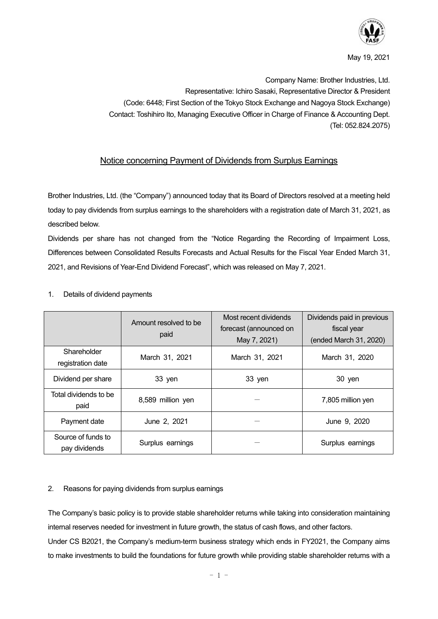

May 19, 2021

Company Name: Brother Industries, Ltd. Representative: Ichiro Sasaki, Representative Director & President (Code: 6448; First Section of the Tokyo Stock Exchange and Nagoya Stock Exchange) Contact: Toshihiro Ito, Managing Executive Officer in Charge of Finance & Accounting Dept. (Tel: 052.824.2075)

## Notice concerning Payment of Dividends from Surplus Earnings

Brother Industries, Ltd. (the "Company") announced today that its Board of Directors resolved at a meeting held today to pay dividends from surplus earnings to the shareholders with a registration date of March 31, 2021, as described below.

Dividends per share has not changed from the "Notice Regarding the Recording of Impairment Loss, Differences between Consolidated Results Forecasts and Actual Results for the Fiscal Year Ended March 31, 2021, and Revisions of Year-End Dividend Forecast", which was released on May 7, 2021.

|                                     | Amount resolved to be<br>paid | Most recent dividends<br>forecast (announced on<br>May 7, 2021) | Dividends paid in previous<br>fiscal year<br>(ended March 31, 2020) |
|-------------------------------------|-------------------------------|-----------------------------------------------------------------|---------------------------------------------------------------------|
| Shareholder<br>registration date    | March 31, 2021                | March 31, 2021                                                  | March 31, 2020                                                      |
| Dividend per share                  | 33 yen                        | 33 yen                                                          | 30 yen                                                              |
| Total dividends to be<br>paid       | 8,589 million yen             |                                                                 | 7,805 million yen                                                   |
| Payment date                        | June 2, 2021                  |                                                                 | June 9, 2020                                                        |
| Source of funds to<br>pay dividends | Surplus earnings              |                                                                 | Surplus earnings                                                    |

## 1. Details of dividend payments

## 2. Reasons for paying dividends from surplus earnings

The Company's basic policy is to provide stable shareholder returns while taking into consideration maintaining internal reserves needed for investment in future growth, the status of cash flows, and other factors. Under CS B2021, the Company's medium-term business strategy which ends in FY2021, the Company aims to make investments to build the foundations for future growth while providing stable shareholder returns with a